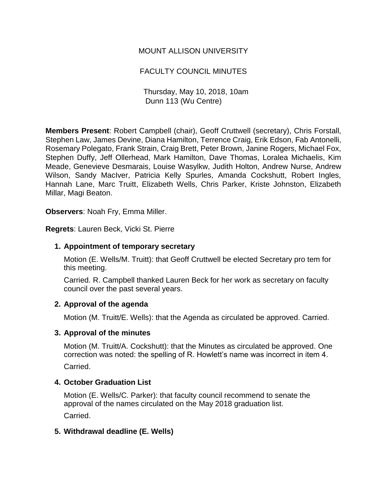# MOUNT ALLISON UNIVERSITY

# FACULTY COUNCIL MINUTES

Thursday, May 10, 2018, 10am Dunn 113 (Wu Centre)

**Members Present**: Robert Campbell (chair), Geoff Cruttwell (secretary), Chris Forstall, Stephen Law, James Devine, Diana Hamilton, Terrence Craig, Erik Edson, Fab Antonelli, Rosemary Polegato, Frank Strain, Craig Brett, Peter Brown, Janine Rogers, Michael Fox, Stephen Duffy, Jeff Ollerhead, Mark Hamilton, Dave Thomas, Loralea Michaelis, Kim Meade, Genevieve Desmarais, Louise Wasylkw, Judith Holton, Andrew Nurse, Andrew Wilson, Sandy MacIver, Patricia Kelly Spurles, Amanda Cockshutt, Robert Ingles, Hannah Lane, Marc Truitt, Elizabeth Wells, Chris Parker, Kriste Johnston, Elizabeth Millar, Magi Beaton.

**Observers**: Noah Fry, Emma Miller.

**Regrets**: Lauren Beck, Vicki St. Pierre

### **1. Appointment of temporary secretary**

Motion (E. Wells/M. Truitt): that Geoff Cruttwell be elected Secretary pro tem for this meeting.

Carried. R. Campbell thanked Lauren Beck for her work as secretary on faculty council over the past several years.

### **2. Approval of the agenda**

Motion (M. Truitt/E. Wells): that the Agenda as circulated be approved. Carried.

### **3. Approval of the minutes**

Motion (M. Truitt/A. Cockshutt): that the Minutes as circulated be approved. One correction was noted: the spelling of R. Howlett's name was incorrect in item 4. Carried.

## **4. October Graduation List**

Motion (E. Wells/C. Parker): that faculty council recommend to senate the approval of the names circulated on the May 2018 graduation list.

Carried.

## **5. Withdrawal deadline (E. Wells)**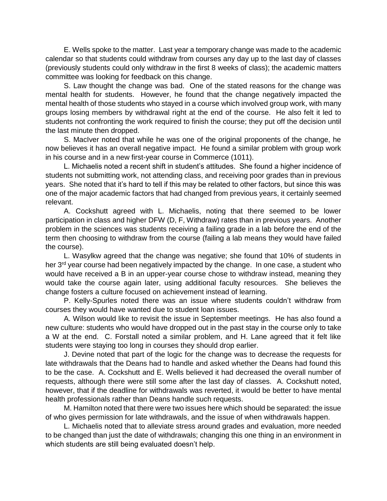E. Wells spoke to the matter. Last year a temporary change was made to the academic calendar so that students could withdraw from courses any day up to the last day of classes (previously students could only withdraw in the first 8 weeks of class); the academic matters committee was looking for feedback on this change.

S. Law thought the change was bad. One of the stated reasons for the change was mental health for students. However, he found that the change negatively impacted the mental health of those students who stayed in a course which involved group work, with many groups losing members by withdrawal right at the end of the course. He also felt it led to students not confronting the work required to finish the course; they put off the decision until the last minute then dropped.

S. MacIver noted that while he was one of the original proponents of the change, he now believes it has an overall negative impact. He found a similar problem with group work in his course and in a new first-year course in Commerce (1011).

L. Michaelis noted a recent shift in student's attitudes. She found a higher incidence of students not submitting work, not attending class, and receiving poor grades than in previous years. She noted that it's hard to tell if this may be related to other factors, but since this was one of the major academic factors that had changed from previous years, it certainly seemed relevant.

A. Cockshutt agreed with L. Michaelis, noting that there seemed to be lower participation in class and higher DFW (D, F, Withdraw) rates than in previous years. Another problem in the sciences was students receiving a failing grade in a lab before the end of the term then choosing to withdraw from the course (failing a lab means they would have failed the course).

L. Wasylkw agreed that the change was negative; she found that 10% of students in her 3<sup>rd</sup> year course had been negatively impacted by the change. In one case, a student who would have received a B in an upper-year course chose to withdraw instead, meaning they would take the course again later, using additional faculty resources. She believes the change fosters a culture focused on achievement instead of learning.

P. Kelly-Spurles noted there was an issue where students couldn't withdraw from courses they would have wanted due to student loan issues.

A. Wilson would like to revisit the issue in September meetings. He has also found a new culture: students who would have dropped out in the past stay in the course only to take a W at the end. C. Forstall noted a similar problem, and H. Lane agreed that it felt like students were staying too long in courses they should drop earlier.

J. Devine noted that part of the logic for the change was to decrease the requests for late withdrawals that the Deans had to handle and asked whether the Deans had found this to be the case. A. Cockshutt and E. Wells believed it had decreased the overall number of requests, although there were still some after the last day of classes. A. Cockshutt noted, however, that if the deadline for withdrawals was reverted, it would be better to have mental health professionals rather than Deans handle such requests.

M. Hamilton noted that there were two issues here which should be separated: the issue of who gives permission for late withdrawals, and the issue of when withdrawals happen.

L. Michaelis noted that to alleviate stress around grades and evaluation, more needed to be changed than just the date of withdrawals; changing this one thing in an environment in which students are still being evaluated doesn't help.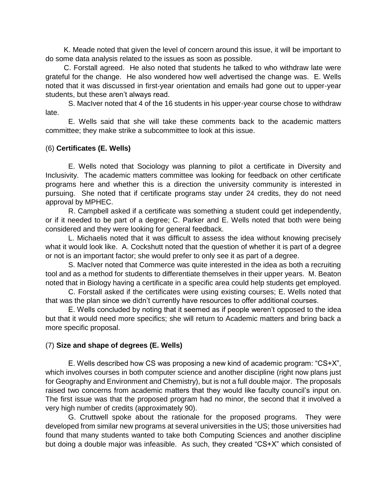K. Meade noted that given the level of concern around this issue, it will be important to do some data analysis related to the issues as soon as possible.

C. Forstall agreed. He also noted that students he talked to who withdraw late were grateful for the change. He also wondered how well advertised the change was. E. Wells noted that it was discussed in first-year orientation and emails had gone out to upper-year students, but these aren't always read.

S. MacIver noted that 4 of the 16 students in his upper-year course chose to withdraw late.

E. Wells said that she will take these comments back to the academic matters committee; they make strike a subcommittee to look at this issue.

### (6) **Certificates (E. Wells)**

E. Wells noted that Sociology was planning to pilot a certificate in Diversity and Inclusivity. The academic matters committee was looking for feedback on other certificate programs here and whether this is a direction the university community is interested in pursuing. She noted that if certificate programs stay under 24 credits, they do not need approval by MPHEC.

R. Campbell asked if a certificate was something a student could get independently, or if it needed to be part of a degree; C. Parker and E. Wells noted that both were being considered and they were looking for general feedback.

L. Michaelis noted that it was difficult to assess the idea without knowing precisely what it would look like. A. Cockshutt noted that the question of whether it is part of a degree or not is an important factor; she would prefer to only see it as part of a degree.

S. MacIver noted that Commerce was quite interested in the idea as both a recruiting tool and as a method for students to differentiate themselves in their upper years. M. Beaton noted that in Biology having a certificate in a specific area could help students get employed.

C. Forstall asked if the certificates were using existing courses; E. Wells noted that that was the plan since we didn't currently have resources to offer additional courses.

E. Wells concluded by noting that it seemed as if people weren't opposed to the idea but that it would need more specifics; she will return to Academic matters and bring back a more specific proposal.

### (7) **Size and shape of degrees (E. Wells)**

E. Wells described how CS was proposing a new kind of academic program: "CS+X", which involves courses in both computer science and another discipline (right now plans just for Geography and Environment and Chemistry), but is not a full double major. The proposals raised two concerns from academic matters that they would like faculty council's input on. The first issue was that the proposed program had no minor, the second that it involved a very high number of credits (approximately 90).

G. Cruttwell spoke about the rationale for the proposed programs. They were developed from similar new programs at several universities in the US; those universities had found that many students wanted to take both Computing Sciences and another discipline but doing a double major was infeasible. As such, they created "CS+X" which consisted of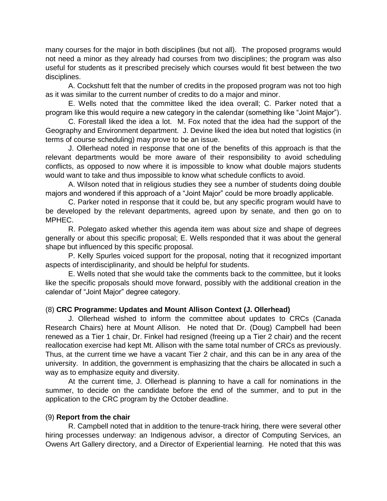many courses for the major in both disciplines (but not all). The proposed programs would not need a minor as they already had courses from two disciplines; the program was also useful for students as it prescribed precisely which courses would fit best between the two disciplines.

A. Cockshutt felt that the number of credits in the proposed program was not too high as it was similar to the current number of credits to do a major and minor.

E. Wells noted that the committee liked the idea overall; C. Parker noted that a program like this would require a new category in the calendar (something like "Joint Major").

C. Forestall liked the idea a lot. M. Fox noted that the idea had the support of the Geography and Environment department. J. Devine liked the idea but noted that logistics (in terms of course scheduling) may prove to be an issue.

J. Ollerhead noted in response that one of the benefits of this approach is that the relevant departments would be more aware of their responsibility to avoid scheduling conflicts, as opposed to now where it is impossible to know what double majors students would want to take and thus impossible to know what schedule conflicts to avoid.

A. Wilson noted that in religious studies they see a number of students doing double majors and wondered if this approach of a "Joint Major" could be more broadly applicable.

C. Parker noted in response that it could be, but any specific program would have to be developed by the relevant departments, agreed upon by senate, and then go on to MPHEC.

R. Polegato asked whether this agenda item was about size and shape of degrees generally or about this specific proposal; E. Wells responded that it was about the general shape but influenced by this specific proposal.

P. Kelly Spurles voiced support for the proposal, noting that it recognized important aspects of interdisciplinarity, and should be helpful for students.

E. Wells noted that she would take the comments back to the committee, but it looks like the specific proposals should move forward, possibly with the additional creation in the calendar of "Joint Major" degree category.

## (8) **CRC Programme: Updates and Mount Allison Context (J. Ollerhead)**

J. Ollerhead wished to inform the committee about updates to CRCs (Canada Research Chairs) here at Mount Allison. He noted that Dr. (Doug) Campbell had been renewed as a Tier 1 chair, Dr. Finkel had resigned (freeing up a Tier 2 chair) and the recent reallocation exercise had kept Mt. Allison with the same total number of CRCs as previously. Thus, at the current time we have a vacant Tier 2 chair, and this can be in any area of the university. In addition, the government is emphasizing that the chairs be allocated in such a way as to emphasize equity and diversity.

At the current time, J. Ollerhead is planning to have a call for nominations in the summer, to decide on the candidate before the end of the summer, and to put in the application to the CRC program by the October deadline.

### (9) **Report from the chair**

R. Campbell noted that in addition to the tenure-track hiring, there were several other hiring processes underway: an Indigenous advisor, a director of Computing Services, an Owens Art Gallery directory, and a Director of Experiential learning. He noted that this was